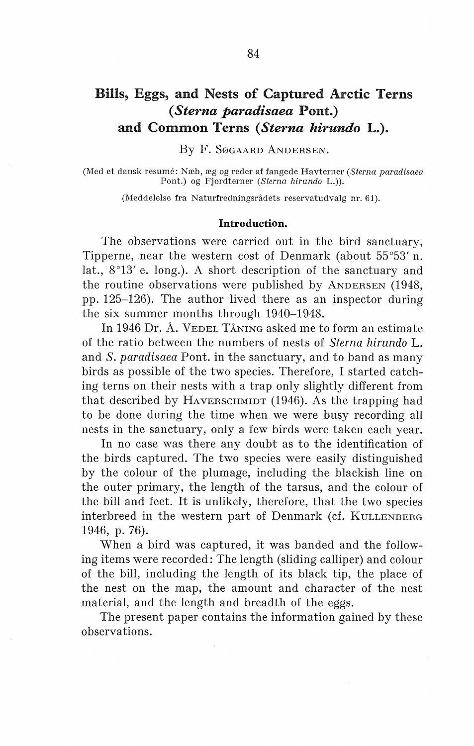# Bills, Eggs, and Nests of Captured Arctic Terns ( *Sterna paradisaea* Pont.) and Common Terns *(Sterna hirundo L.).*

By F. SøGAARD ANDERSEN.

(Med et dansk resume: Næb, æg og reder af fangede Havterner *(Sterna paradisaea*  Pont.) og Fjordterner *(Sterna hirundo* L.)).

(Meddelelse fra Naturfredningsrådets reservatudvalg nr. 61).

### Introduction.

The observations were carried out in the bird sanctuary, Tipperne, near the western cost of Denmark (about 55°53' n. lat., 8°13' e. long.). A short description of the sanctuary and the routine observations were published by ANDERSEN (1948, pp. 125-126). The author lived there as an inspector during the six summer months through 1940-1948.

In 1946 Dr. A. VEDEL TÅNING asked me to form an estimate of the ratio between the numbers of nests of *Sterna hirundo* L. and *S. paradisaea* Pont. in the sanctuary, and to band as many birds as possible of the two species. Therefore, I started catching terns on their nests with a trap only slightly different from that described by HAVERSCHMIDT (1946). As the trapping had to be done during the time when we were busy recording all nests in the sanctuary, only a few birds were taken each year.

In no case was there any doubt as to the identification of the birds captured. The two species were easily distinguished by the colour of the plumage, including the blackish line on the outer primary, the length of the tarsus, and the colour of the bill and feet. It is unlikely, therefore, that the two species interbreed in the western part of Denmark (cf. KULLENBERG 1946, p. 76).

When a bird was captured, it was banded and the following items were recorded: The length (sliding calliper) and colour of the bill, including the length of its black tip, the place of the nest on the map, the amount and character of the nest material, and the length and breadth of the eggs.

The present paper contains the information gained by these observations.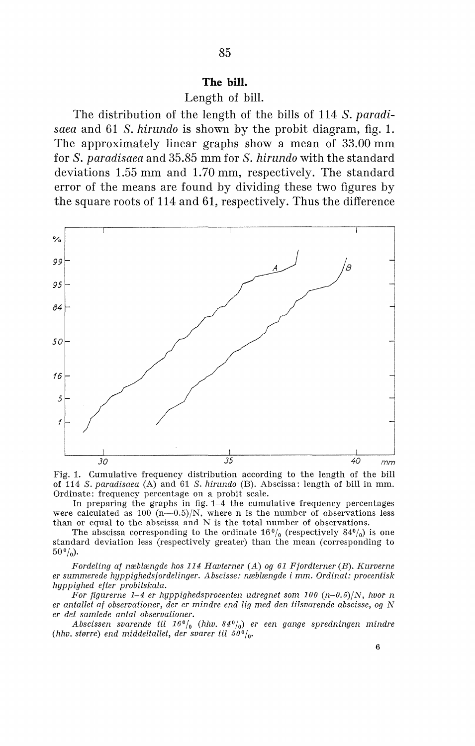### **The bill.**

# Length of bill.

The distribution of the length of the bills of 114 *S. paradisaea* and 61 *S. hirundo* is shown by the probit diagram, fig. 1. The approximately linear graphs show a mean of 33.00 mm for *S. paradisaea* and 35.85 mm for *S. hirundo* with the standard deviations 1.55 mm and 1.70 mm, respectively. The standard error of the means are found by dividing these two figures by the square roots of 114 and 61, respectively. Thus the difference



Fig. 1. Cumulative frequency distribution according to the length of the bill of 114 *S. paradisaea* (A) and 61 *S. hirundo* (B). Abscissa: length of bill in mm. Ordinate: frequency percentage on a probit scale.

In preparing the graphs in fig. 1-4 the cumulative frequency percentages were calculated as 100  $(n-0.5)/N$ , where n is the number of observations less than or equal to the abscissa and N is the total number of observations.

The abscissa corresponding to the ordinate  $16\frac{0}{0}$  (respectively  $84\frac{0}{0}$ ) is one standard deviation less (respectively greater) than the mean *(* corresponding to  $50\frac{6}{9}$ .

*Fordeling af næblængde hos 114 Havterner (A) og 61 Fjordterner (B). Kurverne er summerede hyppighedsfordelinger. Abscisse: næblængde i mm. Ordinat: procentisk hyppighed efter probitskala.* 

*For figurerne 1-4 er hyppighedsprocenten udregnet som 100 (n-0.5)/N, hvor n er antallet af observationer, der er mindre end lig med den tilsvarende abscisse, og N er det samlede antal observationer.* 

*Abscissen svarende til* 16°/0 *(hhv. 84°1o) er een gange spredningen mindre*  (hhv. større) end middeltallet, der svarer til 50<sup>o</sup>/<sub>0</sub>.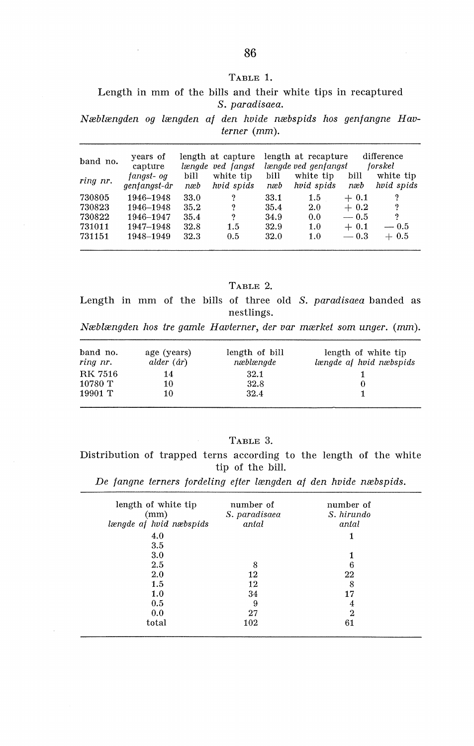### TABLE 1.

### Length in mm of the bills and their white tips in recaptured *S. paradisaea.*

*Næblængden og længden af den hvide næbspids hos genfangne Havterner* (mm).

| band no.<br>ring nr. | years of<br>capture<br>fanast- oa<br>genfangst-år | bill<br>næb | length at capture<br>længde ved fangst<br>white tip<br>hvid spids | bill<br>næb | length at recapture<br>længde ved genfangst<br>white tip<br>hvid spids | bill<br>næb | difference<br>forskel<br>white tip<br>hvid spids |
|----------------------|---------------------------------------------------|-------------|-------------------------------------------------------------------|-------------|------------------------------------------------------------------------|-------------|--------------------------------------------------|
| 730805               | 1946-1948                                         | 33.0        | 9                                                                 | 33.1        | $1.5\,$                                                                | $+0.1$      | ?                                                |
| 730823               | 1946-1948                                         | 35.2        | 9                                                                 | 35.4        | 2.0                                                                    | $+0.2$      | າ                                                |
| 730822               | 1946-1947                                         | 35.4        | 9                                                                 | 34.9        | 0.0                                                                    | $-0.5$      | 9                                                |
| 731011               | 1947-1948                                         | 32.8        | $1.5\,$                                                           | 32.9        | 1.0                                                                    | $+0.1$      | $-0.5$                                           |
| 731151               | 1948-1949                                         | 32.3        | 0.5                                                               | 32.0        | 1.0                                                                    | $-0.3$      | $+0.5$                                           |

TABLE 2.

Length in mm of the bills of three old *S. paradisaea* banded as nestlings.

*Næblængden hos tre gamle Havterner, der var mærket som unger.* (mm).

| band no.<br>ring nr. | age (years)<br>alder $(ar)$ | length of bill<br>næblængde | length of white tip<br>længde af hvid næbspids |
|----------------------|-----------------------------|-----------------------------|------------------------------------------------|
| RK 7516              | 14                          | 32.1                        |                                                |
| 10780 T              | 10                          | 32.8                        |                                                |
| 19901 T              | 10                          | 32.4                        |                                                |

## TABLE 3.

Distribution of trapped terns according to the length of the white tip of the bill.

*De fangne terners fordeling efter længden af den hvide næbspids.* 

| length of white tip<br>(mm)<br>længde af hvid næbspids | number of<br>S. paradisaea<br>antal | number of<br>S. hirundo<br>antal |
|--------------------------------------------------------|-------------------------------------|----------------------------------|
| 4.0                                                    |                                     |                                  |
| 3.5                                                    |                                     |                                  |
| 3.0                                                    |                                     |                                  |
| 2.5                                                    | 8                                   | 6                                |
| 2.0                                                    | 12                                  | 22                               |
| 1.5                                                    | 12                                  | 8                                |
| 1.0                                                    | 34                                  | 17                               |
| 0.5                                                    | 9                                   | 4                                |
| 0.0                                                    | 27                                  | 2                                |
| total                                                  | 102                                 | 61                               |
|                                                        |                                     |                                  |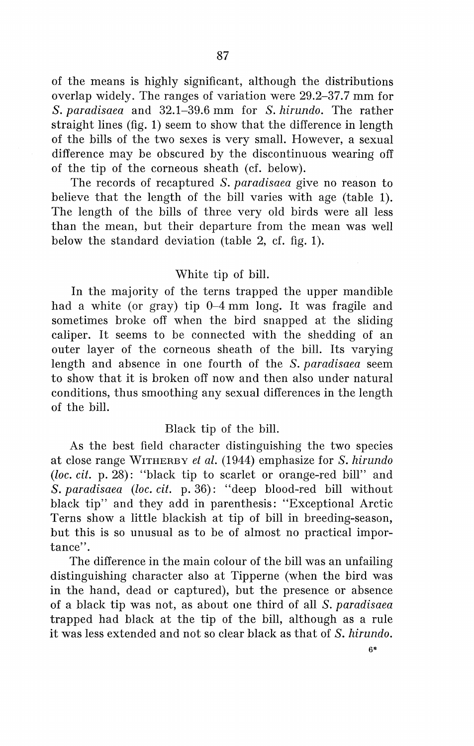of the means is highly significant, although the distributions overlap widely. The ranges of variation were 29.2-37.7 mm for *S. paradisaea* and 32.1-39.6 mm for *S. hirundo.* The rather straight lines (fig. 1) seem to show that the difference in length of the bills of the two sexes is very small. However, a sexual difference may be obscured by the discontinuous wearing off of the tip of the corneous sheath (cf. below).

The records of recaptured *S. paradisaea* give no reason to believe that the length of the bill varies with age (table 1). The length of the bills of three very old hirds were all less than the mean, but their departure from the mean was well below the standard deviation (table  $2$ , cf. fig. 1).

# White tip of bill.

In the majority of the terns trapped the upper mandible had a white (or gray) tip  $0-4$  mm long. It was fragile and sometimes broke off when the hird snapped at the sliding caliper. It seems to be connected with the shedding of an outer layer of the corneous sheath of the bill. Its varying length and absence in one fourth of the *S. paradisaea* seem to show that it is broken off now and then also under natura! conditions, thus smoothing any sexual differences in the length of the bill.

# Black tip of the bill.

As the hest field character distinguishing the two species at close range WITHERBY *et al.* (1944) emphasize for *S. hirundo*  (loc. cit. p. 28): "black tip to scarlet or orange-red bill" and *S. paradisaea* (*loc. cit.* p. 36): "deep blood-red bill without black tip" and they add in parenthesis: "Exceptional Arctic Terns show a little blackish at tip of bill in breeding-season, but this is so unusual as to be of almost no practical importance''.

The difference in the main colour of the bill was an unfailing distinguishing character also at Tipperne (when the hird was in the hand, dead or captured), but the presence or absence of a black tip was not, as about one third of all *S. paradisaea*  trapped had black at the tip of the bill, although as a rule it was less extended and not so clear black as that of *S. hirundo.*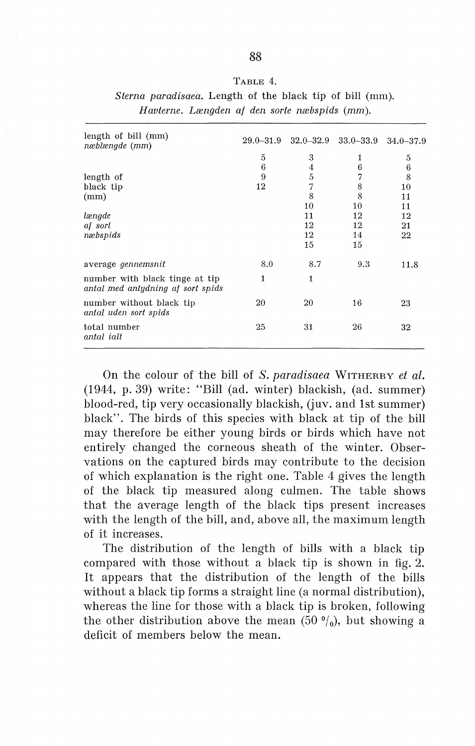| length of bill (mm)<br>næblængde (mm)                               |              | 29.0–31.9 32.0–32.9 33.0–33.9 |     | $34.0 - 37.9$ |
|---------------------------------------------------------------------|--------------|-------------------------------|-----|---------------|
|                                                                     | 5            | 3                             | 1   | 5             |
|                                                                     | 6            | 4                             | 6   | 6             |
| length of                                                           | 9            | 5                             | 7   | 8             |
| black tip                                                           | 12           | 7                             | 8   | 10            |
| (mm)                                                                |              | 8                             | 8   | 11            |
|                                                                     |              | 10                            | 10  | 11            |
| længde                                                              |              | 11                            | 12  | 12            |
| af sort                                                             |              | 12                            | 12  | 21            |
| næbspids                                                            |              | 12                            | 14  | 22            |
|                                                                     |              | 15                            | 15  |               |
| average <i>gennemsnit</i>                                           | 8.0          | 8.7                           | 9.3 | 11.8          |
| number with black tinge at tip<br>antal med antydning af sort spids | $\mathbf{1}$ | 1                             |     |               |
| number without black tip<br>antal uden sort spids                   | 20           | 20                            | 16  | 23            |
| total number<br>antal ialt                                          | 25           | 31                            | 26  | 32            |

| TABLE 4.                                                        |
|-----------------------------------------------------------------|
| <i>Sterna paradisaea.</i> Length of the black tip of bill (mm). |
| Havterne, Længden af den sorte næbspids (mm).                   |

On the colour of the bill of *S. paradisaea* WITHERBY *et al.*  (1944, p. 39) write: "Bill (ad. winter) blackish, (ad. summer) blood-red, tip very occasionally blackish, (juv. and lst summer) black''. The birds of this species with black at tip of the bill may therefore be either young birds or birds which have not entirely changed the corneous sheath of the winter. Observations on the captured birds may contribute to the decision of which explanation is the right one. Table 4 gives the length of the black tip measured along culmen. The table shows that the average length of the black tips present increases with the length of the bill, and, above all, the maximum length of it increases.

The distribution of the length of bills with a black tip compared with those without a black tip is shown in fig. 2. It appears that the distribution of the length of the bills without a black tip forms a straight line (a normal distribution), whereas the line for those with a black tip is broken, following the other distribution above the mean (50 $\frac{0}{0}$ ), but showing a deficit of members below the mean.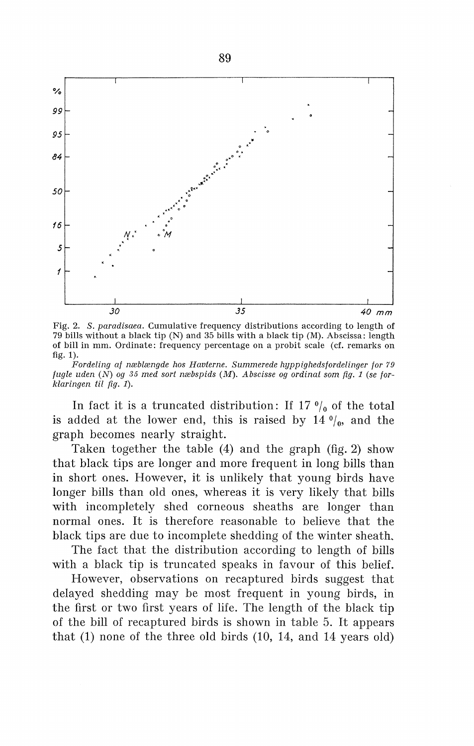

Fig. 2. *S. paradisaea.* Cumulative frequency distributions according to length of 79 bills without a black tip (N) and 35 bills with a black tip (M). Abscissa: length of bill in mm. Ordinate: frequency percentage on a probit scale (cf. remarks on fig. 1).

*Fordeling af næblængde hos Havterne. Summerede hyppighedsfordelinger for 79 fugle uden* (N) *og 35 med sort næbspids* (M). *Abscisse og ordinat som fig. 1 (se forklaringen* til *fig.* 1).

In fact it is a truncated distribution: If  $17 \frac{0}{0}$  of the total is added at the lower end, this is raised by  $14 \frac{0}{0}$ , and the graph beeomes nearly straight.

Taken together the table (4) and the graph (fig. 2) show that blaek tips are longer and more frequent in long bills than in short ones. However, it is unlikely that young hirds have longer bills than old ones, whereas it is very likely that bills with ineompletely shed eorneous sheaths are longer than normal ones. It is therefore reasonable to believe that the blaek tips are due to ineomplete shedding of the winter sheath.

The fact that the distribution according to length of bills with a blaek tip is truneated speaks in favour of this belief.

However, observations on reeaptured hirds suggest that delayed shedding may be most frequent in young hirds, in the first or two first years of life. The length of the blaek tip of the bill of reeaptured hirds is shown in table 5. It appears that (1) none of the three old hirds (10, 14, and 14 years old)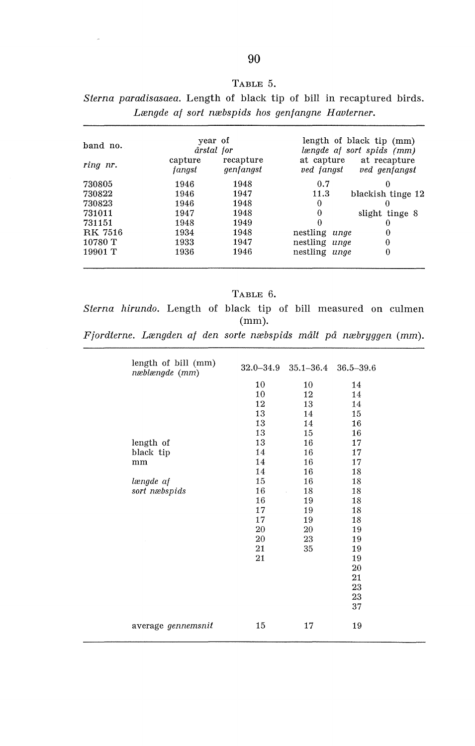| A RLE |  |
|-------|--|
|-------|--|

*Sterna paradisasaea.* Length of black tip of bill in recaptured birds. *Længde af sort næbspids hos genfangne Havterner.* 

| band no.       |                   | year of<br>årstal for  |               | length of black tip (mm)<br>længde af sort spids (mm) |
|----------------|-------------------|------------------------|---------------|-------------------------------------------------------|
| ring nr.       | capture<br>fanast | recapture<br>genfangst | ved fangst    | at capture at recapture<br>ved genfangst              |
| 730805         | 1946              | 1948                   | 0.7           | 0                                                     |
| 730822         | 1946              | 1947                   | 11.3          | blackish tinge 12                                     |
| 730823         | 1946              | 1948                   | 0             | $_{0}$                                                |
| 731011         | 1947              | 1948                   | $\Omega$      | slight tinge 8                                        |
| 731151         | 1948              | 1949                   | $\Omega$      | 0                                                     |
| <b>RK 7516</b> | 1934              | 1948                   | nestling unge | 0                                                     |
| 10780 T        | 1933              | 1947                   | nestling unge | $\bf{0}$                                              |
| 19901 T        | 1936              | 1946                   | nestling unge | 0                                                     |

TABLE 6.

*Sterna hirundo.* Length of black tip of bill measured on culmen (mm).

*Fjordterne. Længden af den sorte næbspids målt på næbryggen* (mm).

| length of bill (mm)<br>næblængde (mm) |    | $32.0 - 34.9$ $35.1 - 36.4$ $36.5 - 39.6$ |    |
|---------------------------------------|----|-------------------------------------------|----|
|                                       | 10 | 10                                        | 14 |
|                                       | 10 | 12                                        | 14 |
|                                       | 12 | 13                                        | 14 |
|                                       | 13 | 14                                        | 15 |
|                                       | 13 | 14                                        | 16 |
|                                       | 13 | 15                                        | 16 |
| length of                             | 13 | 16                                        | 17 |
| black tip                             | 14 | 16                                        | 17 |
| mm                                    | 14 | 16                                        | 17 |
|                                       | 14 | 16                                        | 18 |
| længde af                             | 15 | 16                                        | 18 |
| sort næbspids                         | 16 | 18                                        | 18 |
|                                       | 16 | 19                                        | 18 |
|                                       | 17 | 19                                        | 18 |
|                                       | 17 | 19                                        | 18 |
|                                       | 20 | 20                                        | 19 |
|                                       | 20 | 23                                        | 19 |
|                                       | 21 | 35                                        | 19 |
|                                       | 21 |                                           | 19 |
|                                       |    |                                           | 20 |
|                                       |    |                                           | 21 |
|                                       |    |                                           | 23 |
|                                       |    |                                           | 23 |
|                                       |    |                                           | 37 |
|                                       |    |                                           |    |
| average gennemsnit                    | 15 | 17                                        | 19 |
|                                       |    |                                           |    |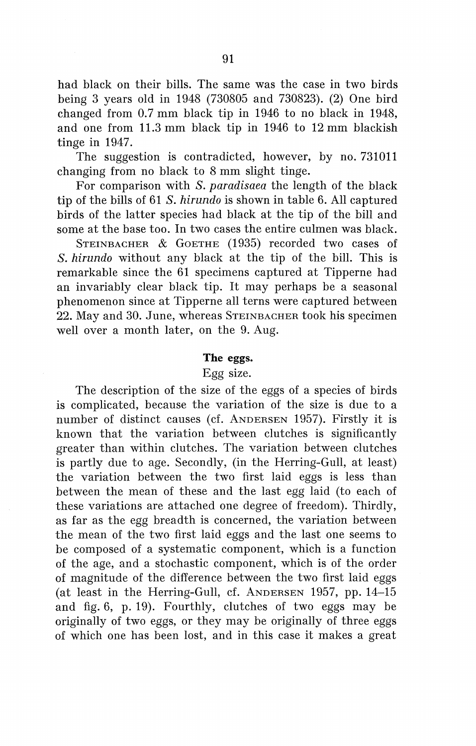had black on their bills. The same was the case in two hirds being 3 years old in 1948 (730805 and 730823). (2) One hird changed from  $0.7$  mm black tip in 1946 to no black in 1948, and one from 11.3 mm black tip in 1946 to 12 mm blackish tinge in 1947.

The suggestion is contradicted, however, by no. 731011 changing from no black to 8 mm slight tinge.

For comparison with *S. paradisaea* the length of the black tip of the bills of 61 *S. hirundo* is shown in table 6. All captured hirds of the latter species had black at the tip of the bill and some at the base too. In two cases the entire culmen was black.

STEINBACHER & GOETHE (1935) recorded two cases of *S. hirundo* without any black at the tip of the bill. This is remarkable since the 61 specimens captured at Tipperne had an invariably clear black tip. It may perhaps be a seasonal phenomenon since at Tipperne all terns were captured between 22. May and 30. June, whereas STEINBACHER took his specimen well over a month later, on the 9. Aug.

# **The eggs.**

### Egg size.

The description of the size of the eggs of a species of hirds is complicated, because the variation of the size is due to a number of distinct causes (cf. ANDERSEN 1957). Firstly it is known that the variation between clutches is significantly greater than within clutches. The variation between clutches is partly due to age. Secondly, (in the Herring-Gull, at least) the variation between the two first laid eggs is less than between the mean of these and the last egg laid (to each of these variations are attached one degree of freedom). Thirdly, as far as the egg breadth is concerned, the variation between the mean of the two first laid eggs and the last one seems to be composed of a systematic component, which is a function of the age, and a stochastic component, which is of the order of magnitude of the difference between the two first laid eggs (at least in the Herring-Gull, cf. ANDERSEN 1957, pp. 14-15 and fig. 6, p. 19). Fourthly, clutches of two eggs may be originally of two eggs, or they may be originally of three eggs of which one has been lost, and in this case it makes a great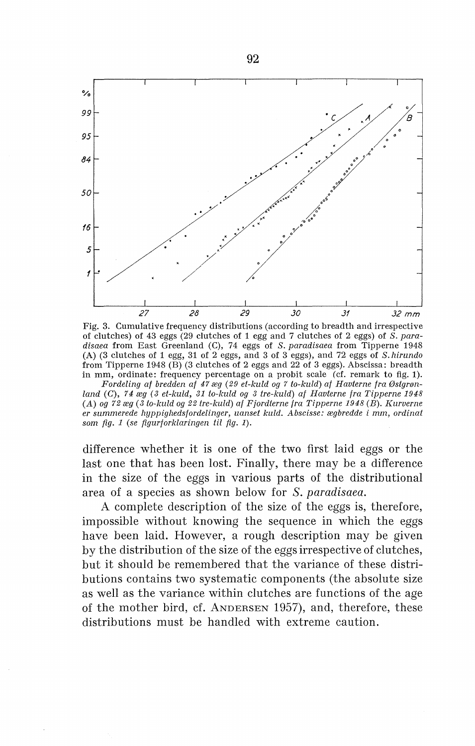

Fig. 3. Cumulative frequency distributions (according to breadth and irrespective of clutches) of 43 eggs (29 clutches of 1 egg and 7 clutches of 2 eggs) of *S. paradisaea* from East Greenland (C), 74 eggs of *S. paradisaea* from Tipperne 1948 (A) (3 clutches of 1 egg, 31 of 2 eggs, and 3 of 3 eggs), and 72 eggs of *S. hirundo*  from Tipperne 1948 (B) (3 clutches of 2 eggs and 22 of 3 eggs). Abscissa: breadth in mm, ordinate: frequency percentage on a probit scale (cf. remark to fig. 1).

*Fordeling af bredden af 47 æg (29 et-kuld og 7 to-kuld) af Havterne fra Østgrøn*land (C), 74 æg (3 et-kuld, 31 to-kuld og 3 tre-kuld) af Havlerne fra Tipperne 1948 (A) *og 72 æg* ( *3 to-kuld og 22 tre-kuld) af Fjordterne fra Tipperne 1948* (B). *Kurverne er summerede hyppighedsfordelinger, uanset kuld. Abscisse: ægbredde i* mm, *ordinat som fig. 1* (se *figurforklaringen* til *fig. 1).* 

difference whether it is one of the two first laid eggs or the last one that has been lost. Finally, there may be a difference in the size of the eggs in various parts of the distributional area of a species as shown below for S. *paradisaea.* 

A complete description of the size of the eggs is, therefore, impossible without knowing the sequence in which the eggs have been laid. However, a rough description may be given by the distribution of the size of the eggs irrespective of clutches, but it should be remembered that the variance of these distributions contains two systematic components (the absolute size as well as the variance within clutches are functions of the age of the mother hird, cf. ANDERSEN 1957), and, therefore, these distributions must be handled with extreme caution.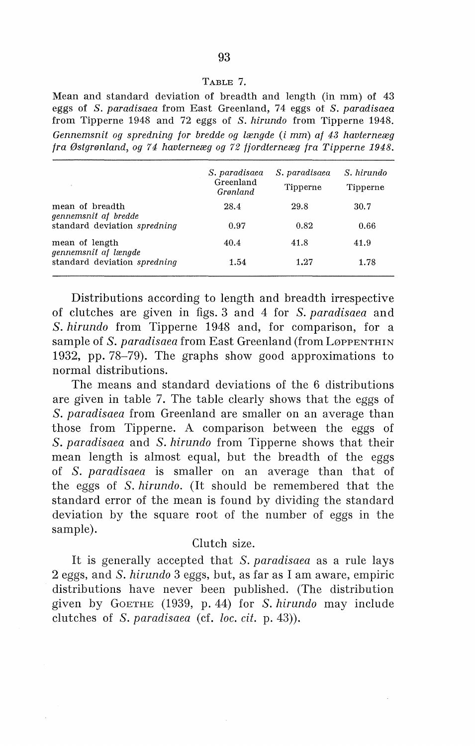### TABLE 7.

Mean and standard deviation of breadth and length (in mm) of 43 eggs of *S. paradisaea* from East Greenland, 74 eggs of *S. paradisaea*  from Tipperne 1948 and 72 eggs of *S. hirundo* from Tipperne 1948. *Gennemsnit og spredning for bredde og længde* (i mm) *af 43 havterneæg fra Østgrønland, og 74 havterneæg og 72 fjordterneæg fra Tipperne 1948.* 

|                                         | S. paradisaea<br>Greenland<br>Grønland | S. paradisaea<br>Tipperne | S. hirundo<br>Tipperne |  |
|-----------------------------------------|----------------------------------------|---------------------------|------------------------|--|
| mean of breadth<br>gennemsnit af bredde | 28.4                                   | 29.8                      | 30.7                   |  |
| standard deviation spredning            | 0.97                                   | 0.82                      | 0.66                   |  |
| mean of length<br>gennemsnit af længde  | 40.4                                   | 41.8                      | 41.9                   |  |
| standard deviation spredning            | 1.54                                   | 1.27                      | 1.78                   |  |
|                                         |                                        |                           |                        |  |

Distributions according to length and breadth irrespective of clutches are given in figs. 3 and 4 for *S. paradisaea* and *S. hirundo* from Tipperne 1948 and, for comparison, for a sample of *S. paradisaea* from East Greenland (from LøppENTHIN 1932, pp. 78-79). The graphs show good approximations to normal distributions.

The means and standard deviations of the 6 distributions are given in table 7. The table clearly shows that the eggs of *S. paradisaea* from Greenland are smaller on an average than those from Tipperne. A comparison between the eggs of *S. paradisaea* and *S. hirundo* from Tipperne shows that their mean length is almost equal, but the breadth of the eggs of *S. paradisaea* is smaller on an average than that of the eggs of *S. hirundo.* (It should be remembered that the standard error of the mean is found by dividing the standard deviation by the square root of the number of eggs in the sample).

# Clutch size.

It is generally accepted that *S. paradisaea* as a rule lays 2 eggs, and *S. hirundo* 3 eggs, but, as far as I am aware, empiric distributions have never been published. (The distribution given by GoETHE (1939, p. 44) for *S. hirundo* may include clutches of *S. paradisaea* (cf. *loc. cit.* p. 43)).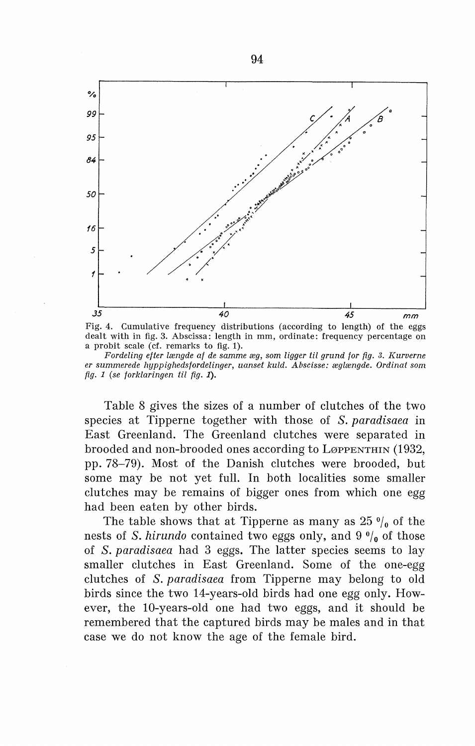

Fig. 4. Cumulative frequency distributions (according to length) of the eggs dealt with in fig. 3. Abscissa: length in mm, ordinate: frequency percentage on a probit scale (cf. remarks to fig. 1).

*Fordeling efter længde af de samme æg, som ligger* til *grund for fig. 3. Kurverne er summerede hyppighedsfordelinger, uanset kuld. Abscisse: æglængde. Ordinat som fig. 1 (se forklaringen* til *fig.* 1).

Table 8 gives the sizes of a number of clutches of the two species at Tipperne together with those of *S. paradisaea* in East Greenland. The Greenland clutches were separated in brooded and non-brooded ones according to LøPPENTHIN (1932, pp. 78-79). Most of the Danish clutches were brooded, but some may be not yet full. In both localities some smaller clutches may be remains of bigger ones from which one egg had been eaten by other hirds.

The table shows that at Tipperne as many as  $25 \frac{0}{0}$  of the nests of *S. hirundo* contained two eggs only, and  $9\frac{0}{0}$  of those of *S. paradisaea* had 3 eggs. The latter species seems to lay smaller clutches in East Greenland. Some of the one-egg clutches of *S. paradisaea* from Tipperne may belong to old hirds since the two 14-years-old hirds had one egg only. However, the 10-years-old one had two eggs, and it should be remembered that the captured birds may be males and in that case we do not know the age of the female bird.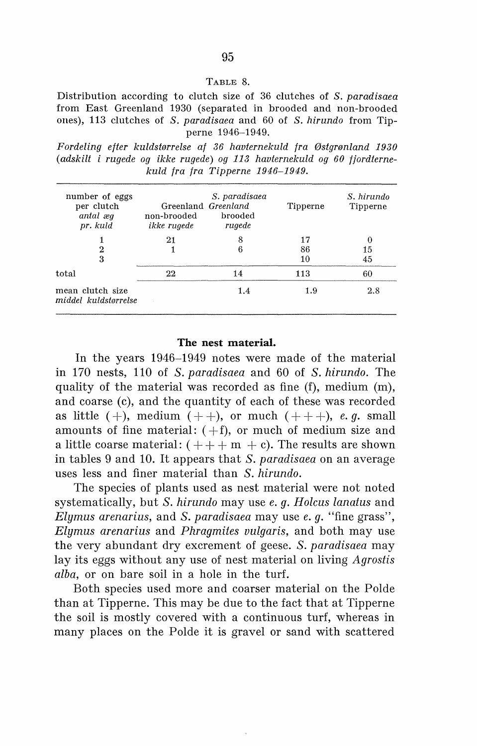#### TABLE 8.

Distribution according to clutch size of 36 clutches of *S. paradisaea*  from East Greenland 1930 (separated in brooded and non-brooded ones), 113 clutches of *S. paradisaea* and 60 of *S. hirundo* from Tipperne 1946-1949.

*Fordeling efter kuldstørrelse af 36 havternekuld fra Østgrønland 1930 (adskilt i rugede og ikke rugede) og 113 havternekuld og 60 fjordternekuld fra fra Tipperne 1946-1949.* 

| number of eggs<br>per clutch<br>antal æg<br>pr. kuld | Greenland Greenland<br>non-brooded<br>ikke rugede | S. paradisaea<br>brooded<br>rugede | Tipperne       | S. hirundo<br>Tipperne |
|------------------------------------------------------|---------------------------------------------------|------------------------------------|----------------|------------------------|
| $\boldsymbol{2}$<br>3                                | 21                                                | 8<br>6                             | 17<br>86<br>10 | $\Omega$<br>15<br>45   |
| total                                                | 22                                                | 14                                 | 113            | 60                     |
| mean clutch size<br>middel kuldstørrelse             |                                                   | 1.4                                | 1.9            | 2.8                    |

# **The nest material.**

In the years 1946-1949 notes were made of the material in 170 nests, 110 of *S. paradisaea* and 60 of *S. hirundo.* The quality of the material was recorded as fine (f), medium (m), and coarse  $(c)$ , and the quantity of each of these was recorded as little  $(+)$ , medium  $(++)$ , or much  $(++)$ , *e. q.* small amounts of fine material:  $(+f)$ , or much of medium size and a little coarse material:  $( + + + m + c)$ . The results are shown in tables 9 and 10. It appears that *S. paradisaea* on an average uses less and finer material than *S. hirundo.* 

The species of plants used as nest material were not noted systematically, but *S. hirundo* may use *e. g. Holcus lanatus* and *Elymus arenarius,* and *S. paradisaea* may use *e. g.* "fine grass", *Elymus arenarius* and *Phragmites vulgaris,* and both may use the very abundant dry excrement of geese. *S. paradisaea* may lay its eggs without any use of nest material on living *Agrostis alba,* or on bare soil in a hole in the turf.

Both species used more and coarser material on the Polde than at Tipperne. This may be due to the faet that at Tipperne the soil is mostly covered with a continuous turf, whereas in many places on the Polde it is gravel or sand with scattered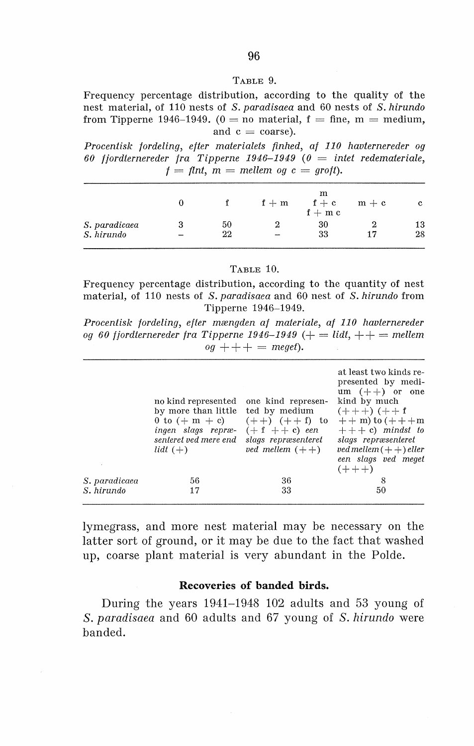#### TABLE 9.

Frequency percentage distribution, according to the quality of the nest material, of 110 nests of *S. paradisaea* and 60 nests of *S. hirundo*  from Tipperne 1946-1949. ( $0 =$  no material,  $f =$  fine,  $m =$  medium, and  $c = \text{coarse}$ ).

*Procentisk fordeling, efter materialets finhed, af 110 havternereder og*  60 fjordternereder fra Tipperne 1946-1949  $(0 \equiv$  intet redemateriale,  $f = f$ *lnt, m = mellem og c = groft*).

|               |    | $f + m$     | m<br>$f + c$<br>$f + m c$ | $m + c$ | c  |
|---------------|----|-------------|---------------------------|---------|----|
| S. paradicaea | 50 |             | 30                        |         | 13 |
| S. hirundo    | 22 | <b>SAMP</b> | 33                        |         | 28 |

TABLE 10.

Frequency percentage distribution, according to the quantity of nest material, of 110 nests of *S. paradisaea* and 60 nest of *S. hirundo* from Tipperne 1946-1949.

*Procentisk fordeling, efter mængden af materiale, af 110 havternereder og 60 fjordternereder fra Tipperne 1946-1949* (+ = *lidt,++= mellem*   $oq + + + + = meq$ .

|               | no kind represented one kind represen-<br>by more than little ted by medium<br>0 to $(+ m + c)$ $(+ +)$ $(+ + f)$ to<br>ingen slags repræ-<br>senteret ved mere end<br>lidt $(+)$ | $(+ f + e)$ een<br>slags repræsenteret<br>ved mellem $(++)$ | at least two kinds re-<br>presented by medi-<br>$um (++)$ or one<br>kind by much<br>$(+ + +) (+ + f)$<br>$++$ m) to $(+ + + m)$<br>$+++c$ mindst to<br>slags repræsenteret<br>$ved$ mellem $(++)$ eller<br>een slags ved meget<br>$(+ + +)$ |
|---------------|-----------------------------------------------------------------------------------------------------------------------------------------------------------------------------------|-------------------------------------------------------------|---------------------------------------------------------------------------------------------------------------------------------------------------------------------------------------------------------------------------------------------|
| S. paradicaea | 56                                                                                                                                                                                | 36                                                          | 8                                                                                                                                                                                                                                           |
| S. hirundo    | 17                                                                                                                                                                                | 33                                                          | 50                                                                                                                                                                                                                                          |

lymegrass, and more nest material may be necessary on the latter sort of ground, or it may be due to the faet that washed up, coarse plant material is very abundant in the Polde.

# **Recoveries of banded hirds.**

During the years 1941-1948 102 adults and 53 young of *S. paradisaea* and 60 adults and 67 young of *S. hirundo* were banded.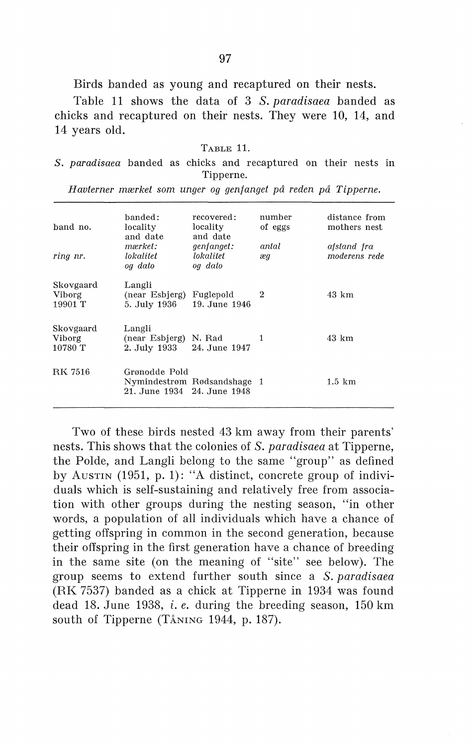Birds banded as young and recaptured on their nests.

Table 11 shows the data of 3 *S. paradisaea* banded as chicks and recaptured on their nests. They were 10, 14, and 14 years old.

| A RLE |  |
|-------|--|
|-------|--|

*S. paradisaea* banded as chicks and recaptured on their nests in Tipperne.

| band no.                              | banded:<br>locality<br>and date                               | recovered:<br>locality<br>and date        | number<br>of eggs | distance from<br>mothers nest |
|---------------------------------------|---------------------------------------------------------------|-------------------------------------------|-------------------|-------------------------------|
| ring nr.                              | mærket:<br>lokalitet<br>og dato                               | <i>genfanget:</i><br>lokalitet<br>og dato | antal<br>æg       | afstand fra<br>moderens rede  |
| Skovgaard<br>Viborg<br>19901 T        | Langli<br>(near Esbjerg)<br>5. July 1936                      | Fuglepold<br>19. June 1946                | -2                | 43 km                         |
| Skovgaard<br><b>Viborg</b><br>10780 T | Langli<br>(near Esbjerg) N. Rad<br>2. July 1933 24. June 1947 |                                           |                   | 43 km                         |
| <b>RK 7516</b>                        | Grønodde Pold<br>21. June 1934 24. June 1948                  | Nymindestrøm Rødsandshage 1               |                   | $1.5 \mathrm{km}$             |

*H avterner mærket som unger og genfanget på reden på Tipperne.* 

Two of these hirds nested 43 km away from their parents' nests. This shows that the colonies of *S. paradisaea* at Tipperne, the Polde, and Langli belong to the same "group" as defined by Austru (1951, p. 1): "A distinct, concrete group of individuals which is self-sustaining and relatively free from association with other groups during the nesting season, "in other words, a population of all individuals which have a chance of getting offspring in common in the second generation, because their offspring in the first generation have a chance of breeding in the same site (on the meaning of "site" see below). The group seems to extend further south since a *S. paradisaea*  (RK 7537) banded as a chick at Tipperne in 1934 was found dead 18. June 1938, i. *e.* during the breeding season, 150 km south of Tipperne (TÅNING 1944, p. 187).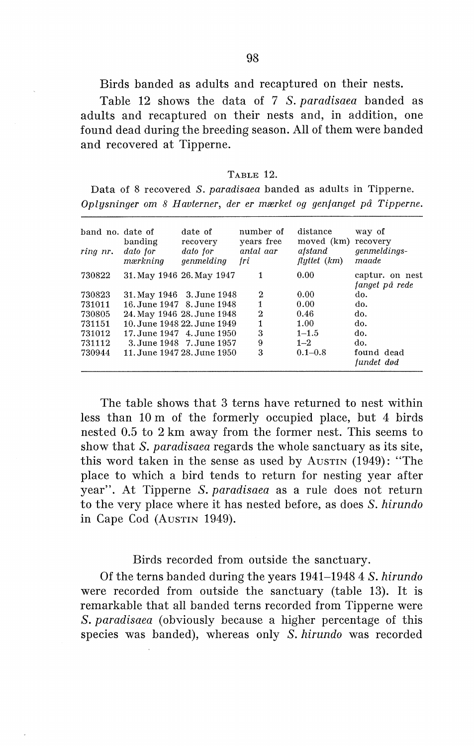Birds banded as adults and recaptured on their nests.

Table 12 shows the data of 7 *S. paradisaea* banded as adults and recaptured on their nests and, in addition, one found dead during the breeding season. All of them were banded and recovered at Tipperne.

#### TABLE 12.

Data of 8 recovered *S. paradisaea* banded as adults in Tipperne. *Oplysninger om 8 Havterner, der er mærket og genfanget på Tipperne.* 

| band no. date of<br>ring nr. | banding<br>dato for<br>mærkning | date of<br>recovery<br>dato for<br>genmelding | number of<br>years free<br>antal aar<br>fri | distance<br>moved (km)<br>afstand<br>$flyttet$ $(km)$ | way of<br>recovery<br>genmeldings-<br>maade |
|------------------------------|---------------------------------|-----------------------------------------------|---------------------------------------------|-------------------------------------------------------|---------------------------------------------|
|                              |                                 |                                               |                                             |                                                       |                                             |
| 730822                       |                                 | 31. May 1946 26. May 1947                     | 1                                           | 0.00                                                  | captur. on nest                             |
|                              |                                 |                                               |                                             |                                                       | fanget på rede                              |
| 730823                       |                                 | 31. May 1946 3. June 1948                     | 2                                           | 0.00                                                  | do.                                         |
| 731011                       |                                 | 16. June 1947 8. June 1948                    |                                             | 0.00                                                  | do.                                         |
| 730805                       |                                 | 24. May 1946 28. June 1948                    | $\mathbf 2$                                 | 0.46                                                  | do.                                         |
| 731151                       |                                 | 10. June 1948 22. June 1949                   |                                             | 1.00                                                  | do.                                         |
| 731012                       |                                 | 17. June 1947 4. June 1950                    | 3                                           | $1 - 1.5$                                             | do.                                         |
| 731112                       |                                 | 3. June 1948 7. June 1957                     | 9                                           | $1 - 2$                                               | do.                                         |
| 730944                       |                                 | 11. June 1947 28. June 1950                   | 3                                           | $0.1 - 0.8$                                           | found dead<br>fundet død                    |
|                              |                                 |                                               |                                             |                                                       |                                             |

The table shows that 3 terns have returned to nest within less than 10 m of the formerly occupied place, but 4 hirds nested 0.5 to 2 km away from the former nest. This seems to show that *S. paradisaea* regards the whole sanctuary as its site, this word taken in the sense as used by Austrix  $(1949)$ : "The place to which a hird tends to return for nesting year after year". At Tipperne *S. paradisaea* as a rule does not return to the very place where it has nested before, as does *S. hirundo*  in Cape Cod (AusTIN 1949).

# Birds recorded from outside the sanctuary.

Of the terns banded during the years 1941-1948 4 *S. hirundo*  were recorded from outside the sanctuary (table 13). It is remarkable that all banded terns recorded from Tipperne were *S. paradisaea* ( obviously because a higher percentage of this species was banded), whereas only *S. hirundo* was recorded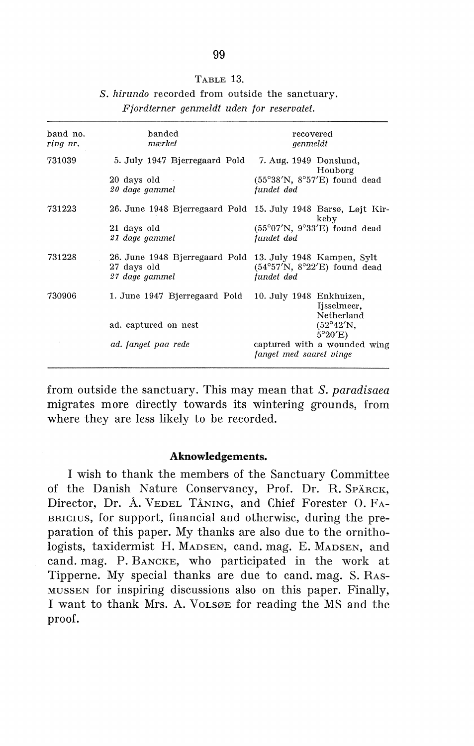### TABLE 13.

|  |                                           |  | S. hirundo recorded from outside the sanctuary. |
|--|-------------------------------------------|--|-------------------------------------------------|
|  | Fiordterner genmeldt uden for reservatet. |  |                                                 |

| band no.<br>ring nr. | banded<br>mærket                                                                           | recovered<br>genmeldt                                                 |
|----------------------|--------------------------------------------------------------------------------------------|-----------------------------------------------------------------------|
| 731039               | 5. July 1947 Bjerregaard Pold                                                              | 7. Aug. 1949 Donslund,<br>Houborg                                     |
|                      | 20 days old<br>20 dage gammel                                                              | $(55°38'N, 8°57'E)$ found dead<br>fundet død                          |
| 731223               |                                                                                            | 26. June 1948 Bjerregaard Pold 15. July 1948 Barsø, Løjt Kir-<br>keby |
|                      | 21 days old<br>21 dage gammel                                                              | $(55^{\circ}07'N, 9^{\circ}33'E)$ found dead<br>fundet død            |
| 731228               | 26. June 1948 Bjerregaard Pold 13. July 1948 Kampen, Sylt<br>27 days old<br>27 dage gammel | $(54°57'N, 8°22'E)$ found dead<br>fundet død                          |
| 730906               | 1. June 1947 Bjerregaard Pold 10. July 1948 Enkhuizen,                                     | Ijsselmeer,<br>Netherland                                             |
|                      | ad. captured on nest                                                                       | $(52^{\circ}42'N,$<br>$5^{\circ}20'E$                                 |
|                      | ad. fanget paa rede                                                                        | captured with a wounded wing<br>fanget med saaret vinge               |
|                      |                                                                                            |                                                                       |

from outside the sanctuary. This may mean that *S. paradisaea*  migrates more directly towards its wintering grounds, from where they are less likely to be recorded.

### **Aknowledgements.**

I wish to thank the members of the Sanctuary Committee of the Danish Nature Conservancy, Prof. Dr. R. SPÄRCK, Director, Dr. A. VEDEL TÅNING, and Chief Forester 0. FA-BRICIUS, for support, financial and otherwise, during the preparation of this paper. My thanks are also due to the ornithologists, taxidermist H. MADSEN, cand. mag. E. MADSEN, and cand. mag. P. BANCKE, who participated in the work at Tipperne. My special thanks are due to cand. mag. S. RAS-MUSSEN for inspiring discussions also on this paper. Finally, I want to thank Mrs. A. VoLSØE for reading the MS and the proof.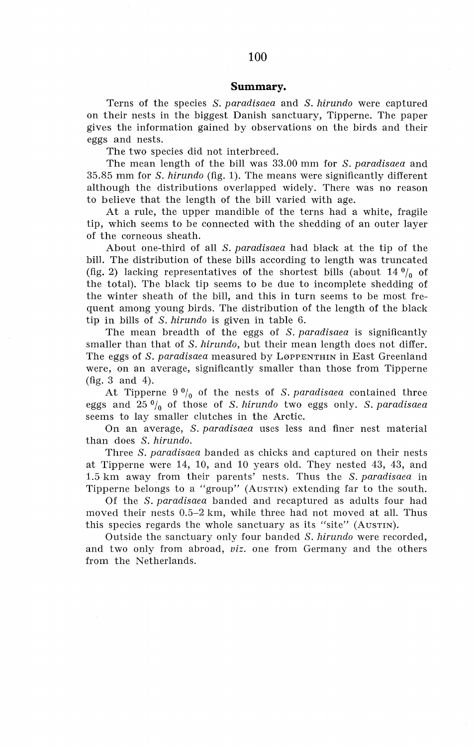### **Summary.**

Terns of the species *S. paradisaea* and *S. hirundo* were captured on their nests in the biggest Danish sanctuary, Tipperne. The paper gives the information gained by observations on the birds and their eggs and nests.

The two species did not interbreed.

The mean length of the bill was 33.00 mm for *S. paradisaea* and 35.85 mm for *S. hirundo* (fig. 1). The means were significantly different although the distributions overlapped widely. There was no reason to believe that the length of the bill varied with age.

At a rule, the upper mandible of the terns had a white, fragile tip, which seems to be connected with the shedding of an outer layer of the corneous sheath.

About one-third of all *S. paradisaea* had black at the tip of the bill. The distribution of these bi11s according to length was truncated (fig. 2) lacking representatives of the shortest bills (about  $14 \frac{0}{0}$  of the total). The black tip seems to be due to incomplete shedding of the winter sheath of the bill, and this in turn seems to be most frequent among young birds. The distribution of the length of the black tip in bills of *S. hirundo* is given in table 6.

The mean breadth of the eggs of *S. paradisaea* is significantly smaller than that of *S. hirundo,* but their mean length does not differ. The eggs of *S. paradisaea* measured by LøPPENTHIN in East Greenland were, on an average, significantly smaller than those from Tipperne (fig. 3 and 4).

At Tipperne 9 °/0 of the nests of *S. paradisaea* contained three eggs and 25 °/0 of those of *S. hirundo* two eggs only. *S. paradisaea*  seems to lay smaller clutches in the Arctic.

On an average, *S. paradisaea* uses less and finer nest material than does *S. hirundo.* 

Three *S. paradisaea* banded as chicks and captured on their nests at Tipperne were 14, 10, and 10 years old. They nested 43, 43, and 1.5 km away from their parents' nests. Thus the *S. paradisaea* in Tipperne belongs to a "group" (AusTIN) extending far to the south.

Of the *S. paradisaea* banded and recaptured as adults four had moved their nests 0.5-2 km, while three had not moved at all. Thus this species regards the whole sanctuary as its "site" (AusTIN).

Outside the sanctuary only four banded *S. hirundo* were recorded, and two only from abroad, *viz.* one from Germany and the others from the Netherlands.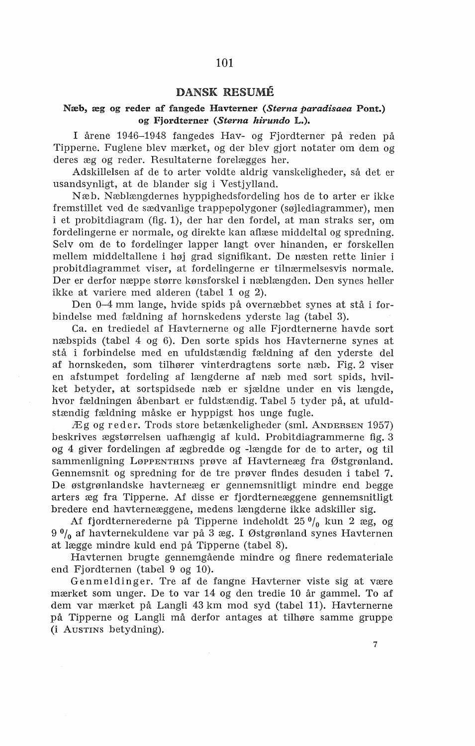### DANSK RESUME

# Næb, æg og reder af fangede Havterner *(Sterna paradisaea* Pont.) og Fjordterner *(Sterna hirundo* L.).

I årene 1946-1948 fangedes Hav- og Fjordterner på reden på Tipperne. Fuglene blev mærket, og der blev gjort notater om dem og deres æg og reder. Resultaterne forelægges her.

Adskillelsen af de to arter voldte aldrig vanskeligheder, så det er usandsynligt, at de blander sig i Vestjylland.

Næb. Næblængdernes hyppighedsfordeling hos de to arter er ikke fremstillet ved de sædvanlige trappepolygoner (søjlediagrammer), men i et probitdiagram (fig. 1), der har den fordel, at man straks ser, om fordelingerne er normale, og direkte kan aflæse middeltal og spredning. Selv om de to fordelinger lapper langt over hinanden, er forskellen mellem middeltallene i høj grad signifikant. De næsten rette linier i probitdiagrammet viser, at fordelingerne er tilnærmelsesvis normale. Der er derfor næppe større kønsforskel i næblængden. Den synes heller ikke at variere med alderen (tabel 1 og 2).

Den 0-4 mm lange, hvide spids på overnæbbet synes at stå i forbindelse med fældning af hornskedens yderste lag (tabel 3).

Ca. en trediedel af Havternerne og alle Fjordternerne havde sort næbspids (tabel 4 og 6). Den sorte spids hos Havternerne synes at stå i forbindelse med en ufuldstændig fældning af den yderste del af hornskeden, som tilhører vinterdragtens sorte næb. Fig. 2 viser en afstumpet fordeling af længderne af næb med sort spids, hvilket betyder, at sortspidsede næb er sjældne under en vis længde, hvor fældningen åbenbart er fuldstændig. Tabel 5 tyder på, at ufuldstændig fældning måske er hyppigst hos unge fugle.

Æg og reder. Trods store betænkeligheder (sml. ANDERSEN 1957) beskrives ægstørrelsen uafhængig af kuld. Probitdiagrammerne fig. 3 og 4 giver fordelingen af ægbredde og -længde for de to arter, og til sammenligning LøppENTHINS prøve af Havterneæg fra Østgrønland. Gennemsnit og spredning for de tre prøver findes desuden i tabel 7. De østgrønlandske havterneæg er gennemsnitligt mindre end begge arters æg fra Tipperne. Af disse er fjordterneæggene gennemsnitligt bredere end havterneæggene, medens længderne ikke adskiller sig.

Af fjordternerederne på Tipperne indeholdt  $25 \frac{0}{0}$  kun 2 æg, og  $9<sup>0</sup>$ <sub>0</sub> af havternekuldene var på 3 æg. I Østgrønland synes Havternen at lægge mindre kuld end på Tipperne (tabel 8).

Havternen brugte gennemgående mindre og finere redemateriale end Fjordternen (tabel 9 og 10).

Genmeldinger. Tre af de fangne Havterner viste sig at være mærket som unger. De to var 14 og den tredie 10 år gammel. To af dem var mærket på Langli 43 km mod syd (tabel 11). Havternerne på Tipperne og Langli må derfor antages at tilhøre samme gruppe (i AusTINS betydning).